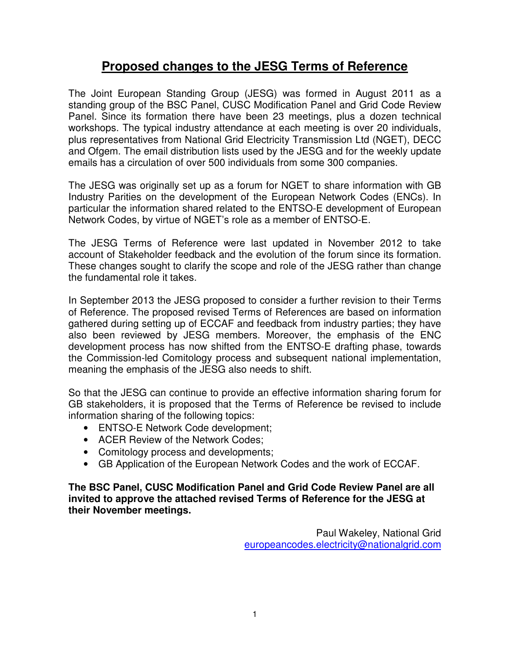# **Proposed changes to the JESG Terms of Reference**

The Joint European Standing Group (JESG) was formed in August 2011 as a standing group of the BSC Panel, CUSC Modification Panel and Grid Code Review Panel. Since its formation there have been 23 meetings, plus a dozen technical workshops. The typical industry attendance at each meeting is over 20 individuals, plus representatives from National Grid Electricity Transmission Ltd (NGET), DECC and Ofgem. The email distribution lists used by the JESG and for the weekly update emails has a circulation of over 500 individuals from some 300 companies.

The JESG was originally set up as a forum for NGET to share information with GB Industry Parities on the development of the European Network Codes (ENCs). In particular the information shared related to the ENTSO-E development of European Network Codes, by virtue of NGET's role as a member of ENTSO-E.

The JESG Terms of Reference were last updated in November 2012 to take account of Stakeholder feedback and the evolution of the forum since its formation. These changes sought to clarify the scope and role of the JESG rather than change the fundamental role it takes.

In September 2013 the JESG proposed to consider a further revision to their Terms of Reference. The proposed revised Terms of References are based on information gathered during setting up of ECCAF and feedback from industry parties; they have also been reviewed by JESG members. Moreover, the emphasis of the ENC development process has now shifted from the ENTSO-E drafting phase, towards the Commission-led Comitology process and subsequent national implementation, meaning the emphasis of the JESG also needs to shift.

So that the JESG can continue to provide an effective information sharing forum for GB stakeholders, it is proposed that the Terms of Reference be revised to include information sharing of the following topics:

- ENTSO-E Network Code development;
- ACER Review of the Network Codes;
- Comitology process and developments;
- GB Application of the European Network Codes and the work of ECCAF.

**The BSC Panel, CUSC Modification Panel and Grid Code Review Panel are all invited to approve the attached revised Terms of Reference for the JESG at their November meetings.** 

> Paul Wakeley, National Grid europeancodes.electricity@nationalgrid.com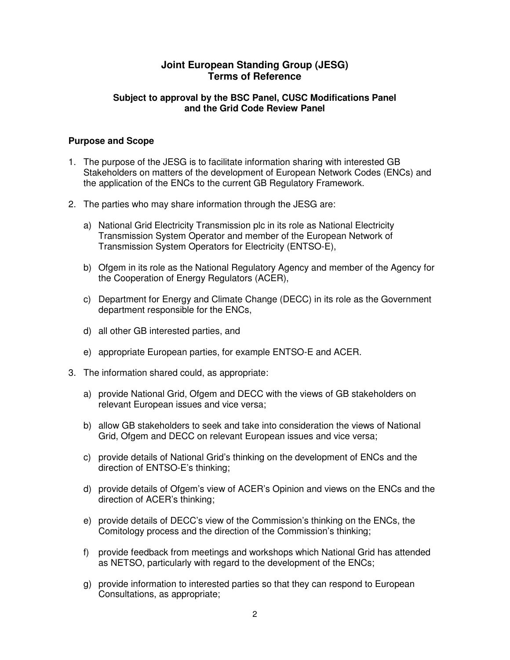# **Joint European Standing Group (JESG) Terms of Reference**

## **Subject to approval by the BSC Panel, CUSC Modifications Panel and the Grid Code Review Panel**

## **Purpose and Scope**

- 1. The purpose of the JESG is to facilitate information sharing with interested GB Stakeholders on matters of the development of European Network Codes (ENCs) and the application of the ENCs to the current GB Regulatory Framework.
- 2. The parties who may share information through the JESG are:
	- a) National Grid Electricity Transmission plc in its role as National Electricity Transmission System Operator and member of the European Network of Transmission System Operators for Electricity (ENTSO-E),
	- b) Ofgem in its role as the National Regulatory Agency and member of the Agency for the Cooperation of Energy Regulators (ACER),
	- c) Department for Energy and Climate Change (DECC) in its role as the Government department responsible for the ENCs,
	- d) all other GB interested parties, and
	- e) appropriate European parties, for example ENTSO-E and ACER.
- 3. The information shared could, as appropriate:
	- a) provide National Grid, Ofgem and DECC with the views of GB stakeholders on relevant European issues and vice versa;
	- b) allow GB stakeholders to seek and take into consideration the views of National Grid, Ofgem and DECC on relevant European issues and vice versa;
	- c) provide details of National Grid's thinking on the development of ENCs and the direction of ENTSO-E's thinking;
	- d) provide details of Ofgem's view of ACER's Opinion and views on the ENCs and the direction of ACER's thinking;
	- e) provide details of DECC's view of the Commission's thinking on the ENCs, the Comitology process and the direction of the Commission's thinking;
	- f) provide feedback from meetings and workshops which National Grid has attended as NETSO, particularly with regard to the development of the ENCs;
	- g) provide information to interested parties so that they can respond to European Consultations, as appropriate;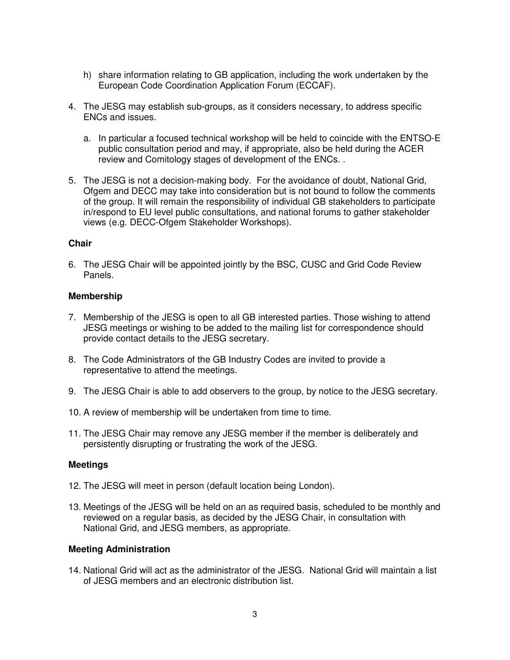- h) share information relating to GB application, including the work undertaken by the European Code Coordination Application Forum (ECCAF).
- 4. The JESG may establish sub-groups, as it considers necessary, to address specific ENCs and issues.
	- a. In particular a focused technical workshop will be held to coincide with the ENTSO-E public consultation period and may, if appropriate, also be held during the ACER review and Comitology stages of development of the ENCs. .
- 5. The JESG is not a decision-making body. For the avoidance of doubt, National Grid, Ofgem and DECC may take into consideration but is not bound to follow the comments of the group. It will remain the responsibility of individual GB stakeholders to participate in/respond to EU level public consultations, and national forums to gather stakeholder views (e.g. DECC-Ofgem Stakeholder Workshops).

## **Chair**

6. The JESG Chair will be appointed jointly by the BSC, CUSC and Grid Code Review Panels.

## **Membership**

- 7. Membership of the JESG is open to all GB interested parties. Those wishing to attend JESG meetings or wishing to be added to the mailing list for correspondence should provide contact details to the JESG secretary.
- 8. The Code Administrators of the GB Industry Codes are invited to provide a representative to attend the meetings.
- 9. The JESG Chair is able to add observers to the group, by notice to the JESG secretary.
- 10. A review of membership will be undertaken from time to time.
- 11. The JESG Chair may remove any JESG member if the member is deliberately and persistently disrupting or frustrating the work of the JESG.

#### **Meetings**

- 12. The JESG will meet in person (default location being London).
- 13. Meetings of the JESG will be held on an as required basis, scheduled to be monthly and reviewed on a regular basis, as decided by the JESG Chair, in consultation with National Grid, and JESG members, as appropriate.

## **Meeting Administration**

14. National Grid will act as the administrator of the JESG. National Grid will maintain a list of JESG members and an electronic distribution list.